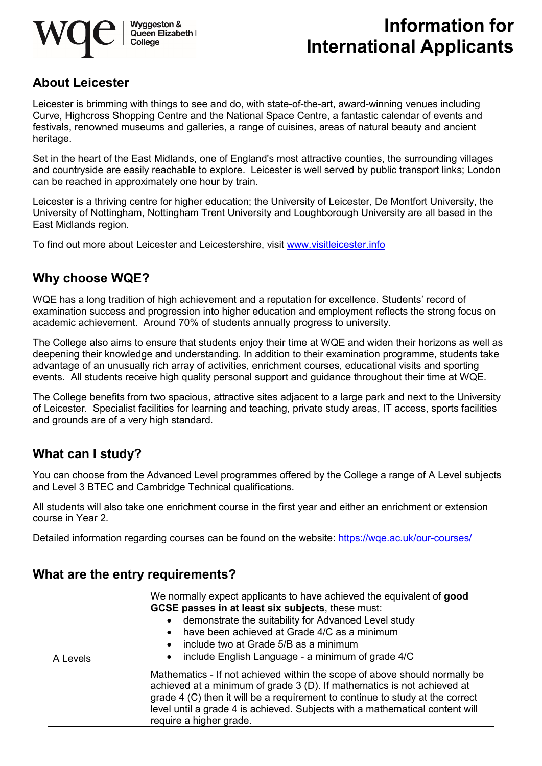

# **Information for International Applicants**

## **About Leicester**

Leicester is brimming with things to see and do, with state-of-the-art, award-winning venues including Curve, Highcross Shopping Centre and the National Space Centre, a fantastic calendar of events and festivals, renowned museums and galleries, a range of cuisines, areas of natural beauty and ancient heritage.

Set in the heart of the East Midlands, one of England's most attractive counties, the surrounding villages and countryside are easily reachable to explore. Leicester is well served by public transport links; London can be reached in approximately one hour by train.

Leicester is a thriving centre for higher education; the University of Leicester, De Montfort University, the University of Nottingham, Nottingham Trent University and Loughborough University are all based in the East Midlands region.

To find out more about Leicester and Leicestershire, visit [www.visitleicester.info](http://www.visitleicester.info/)

#### **Why choose WQE?**

WQE has a long tradition of high achievement and a reputation for excellence. Students' record of examination success and progression into higher education and employment reflects the strong focus on academic achievement. Around 70% of students annually progress to university.

The College also aims to ensure that students enjoy their time at WQE and widen their horizons as well as deepening their knowledge and understanding. In addition to their examination programme, students take advantage of an unusually rich array of activities, enrichment courses, educational visits and sporting events. All students receive high quality personal support and guidance throughout their time at WQE.

The College benefits from two spacious, attractive sites adjacent to a large park and next to the University of Leicester. Specialist facilities for learning and teaching, private study areas, IT access, sports facilities and grounds are of a very high standard.

## **What can I study?**

You can choose from the Advanced Level programmes offered by the College a range of A Level subjects and Level 3 BTEC and Cambridge Technical qualifications.

All students will also take one enrichment course in the first year and either an enrichment or extension course in Year 2.

Detailed information regarding courses can be found on the website:<https://wqe.ac.uk/our-courses/>

#### **What are the entry requirements?**

| A Levels | We normally expect applicants to have achieved the equivalent of good<br>GCSE passes in at least six subjects, these must:<br>demonstrate the suitability for Advanced Level study<br>$\bullet$<br>have been achieved at Grade 4/C as a minimum<br>$\bullet$<br>include two at Grade 5/B as a minimum<br>$\bullet$<br>include English Language - a minimum of grade 4/C<br>$\bullet$ |
|----------|--------------------------------------------------------------------------------------------------------------------------------------------------------------------------------------------------------------------------------------------------------------------------------------------------------------------------------------------------------------------------------------|
|          | Mathematics - If not achieved within the scope of above should normally be<br>achieved at a minimum of grade 3 (D). If mathematics is not achieved at<br>grade 4 (C) then it will be a requirement to continue to study at the correct<br>level until a grade 4 is achieved. Subjects with a mathematical content will<br>require a higher grade.                                    |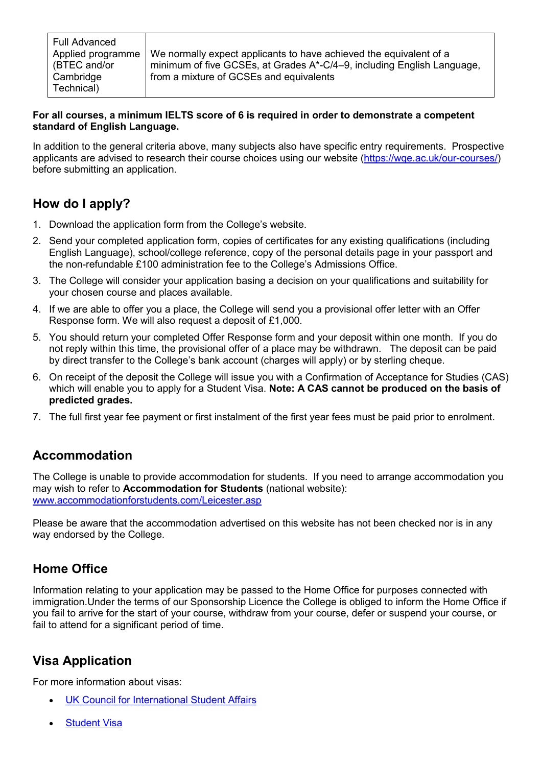We normally expect applicants to have achieved the equivalent of a minimum of five GCSEs, at Grades A\*-C/4–9, including English Language, from a mixture of GCSEs and equivalents

#### **For all courses, a minimum IELTS score of 6 is required in order to demonstrate a competent standard of English Language.**

In addition to the general criteria above, many subjects also have specific entry requirements. Prospective applicants are advised to research their course choices using our website [\(https://wqe.ac.uk/our-courses/\)](https://wqe.ac.uk/our-courses/) before submitting an application.

## **How do I apply?**

- 1. Download the application form from the College's website.
- 2. Send your completed application form, copies of certificates for any existing qualifications (including English Language), school/college reference, copy of the personal details page in your passport and the non-refundable £100 administration fee to the College's Admissions Office.
- 3. The College will consider your application basing a decision on your qualifications and suitability for your chosen course and places available.
- 4. If we are able to offer you a place, the College will send you a provisional offer letter with an Offer Response form. We will also request a deposit of £1,000.
- 5. You should return your completed Offer Response form and your deposit within one month. If you do not reply within this time, the provisional offer of a place may be withdrawn. The deposit can be paid by direct transfer to the College's bank account (charges will apply) or by sterling cheque.
- 6. On receipt of the deposit the College will issue you with a Confirmation of Acceptance for Studies (CAS) which will enable you to apply for a Student Visa. **Note: A CAS cannot be produced on the basis of predicted grades.**
- 7. The full first year fee payment or first instalment of the first year fees must be paid prior to enrolment.

## **Accommodation**

The College is unable to provide accommodation for students. If you need to arrange accommodation you may wish to refer to **Accommodation for Students** (national website): [www.accommodationforstudents.com/Leicester.asp](http://www.accommodationforstudents.com/Leicester.asp)

Please be aware that the accommodation advertised on this website has not been checked nor is in any way endorsed by the College.

## **Home Office**

Information relating to your application may be passed to the Home Office for purposes connected with immigration.Under the terms of our Sponsorship Licence the College is obliged to inform the Home Office if you fail to arrive for the start of your course, withdraw from your course, defer or suspend your course, or fail to attend for a significant period of time.

## **Visa Application**

For m[ore information about visas:](https://www.ukcisa.org.uk/)

- [UK Council for International Student Affairs](https://www.ukcisa.org.uk/)
- **[Student Visa](https://www.gov.uk/tier-4-general-visa)**